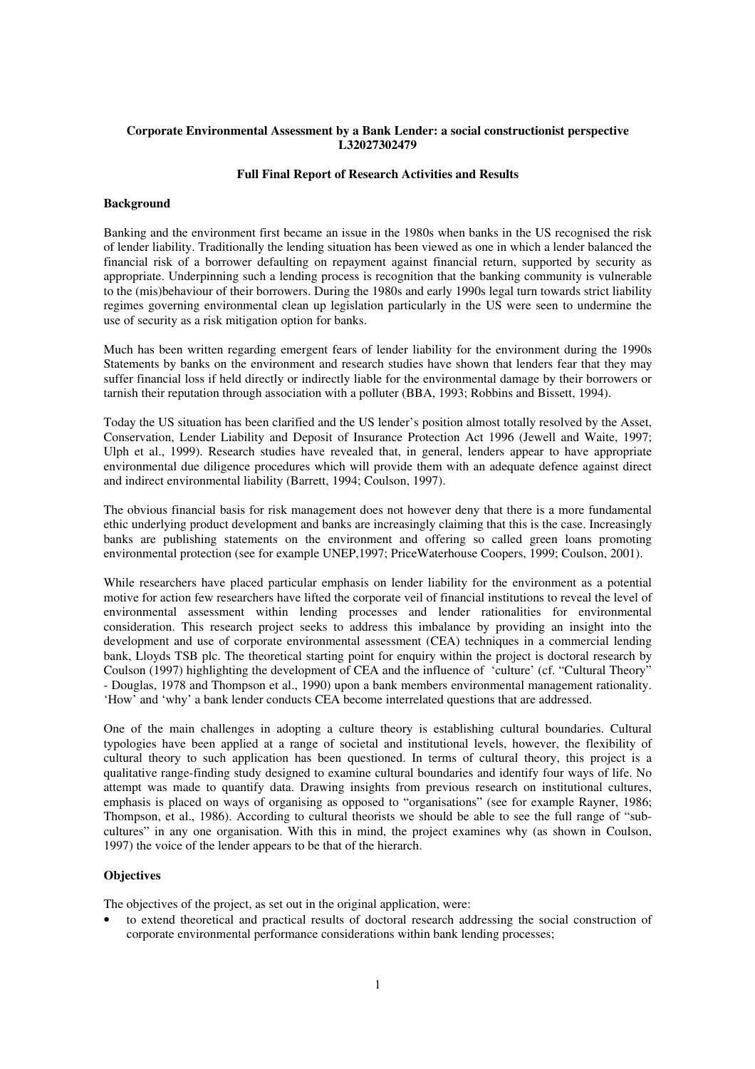## **Corporate Environmental Assessment by a Bank Lender: a social constructionist perspective L32027302479**

## **Full Final Report of Research Activities and Results**

### **Background**

Banking and the environment first became an issue in the 1980s when banks in the US recognised the risk of lender liability. Traditionally the lending situation has been viewed as one in which a lender balanced the financial risk of a borrower defaulting on repayment against financial return, supported by security as appropriate. Underpinning such a lending process is recognition that the banking community is vulnerable to the (mis)behaviour of their borrowers. During the 1980s and early 1990s legal turn towards strict liability regimes governing environmental clean up legislation particularly in the US were seen to undermine the use of security as a risk mitigation option for banks.

Much has been written regarding emergent fears of lender liability for the environment during the 1990s Statements by banks on the environment and research studies have shown that lenders fear that they may suffer financial loss if held directly or indirectly liable for the environmental damage by their borrowers or tarnish their reputation through association with a polluter (BBA, 1993; Robbins and Bissett, 1994).

Today the US situation has been clarified and the US lender's position almost totally resolved by the Asset, Conservation, Lender Liability and Deposit of Insurance Protection Act 1996 (Jewell and Waite, 1997; Ulph et al., 1999). Research studies have revealed that, in general, lenders appear to have appropriate environmental due diligence procedures which will provide them with an adequate defence against direct and indirect environmental liability (Barrett, 1994; Coulson, 1997).

The obvious financial basis for risk management does not however deny that there is a more fundamental ethic underlying product development and banks are increasingly claiming that this is the case. Increasingly banks are publishing statements on the environment and offering so called green loans promoting environmental protection (see for example UNEP,1997; PriceWaterhouse Coopers, 1999; Coulson, 2001).

While researchers have placed particular emphasis on lender liability for the environment as a potential motive for action few researchers have lifted the corporate veil of financial institutions to reveal the level of environmental assessment within lending processes and lender rationalities for environmental consideration. This research project seeks to address this imbalance by providing an insight into the development and use of corporate environmental assessment (CEA) techniques in a commercial lending bank, Lloyds TSB plc. The theoretical starting point for enquiry within the project is doctoral research by Coulson (1997) highlighting the development of CEA and the influence of 'culture' (cf. "Cultural Theory" - Douglas, 1978 and Thompson et al., 1990) upon a bank members environmental management rationality. 'How' and 'why' a bank lender conducts CEA become interrelated questions that are addressed.

One of the main challenges in adopting a culture theory is establishing cultural boundaries. Cultural typologies have been applied at a range of societal and institutional levels, however, the flexibility of cultural theory to such application has been questioned. In terms of cultural theory, this project is a qualitative range-finding study designed to examine cultural boundaries and identify four ways of life. No attempt was made to quantify data. Drawing insights from previous research on institutional cultures, emphasis is placed on ways of organising as opposed to "organisations" (see for example Rayner, 1986; Thompson, et al., 1986). According to cultural theorists we should be able to see the full range of "subcultures" in any one organisation. With this in mind, the project examines why (as shown in Coulson, 1997) the voice of the lender appears to be that of the hierarch.

### **Objectives**

The objectives of the project, as set out in the original application, were:

• to extend theoretical and practical results of doctoral research addressing the social construction of corporate environmental performance considerations within bank lending processes;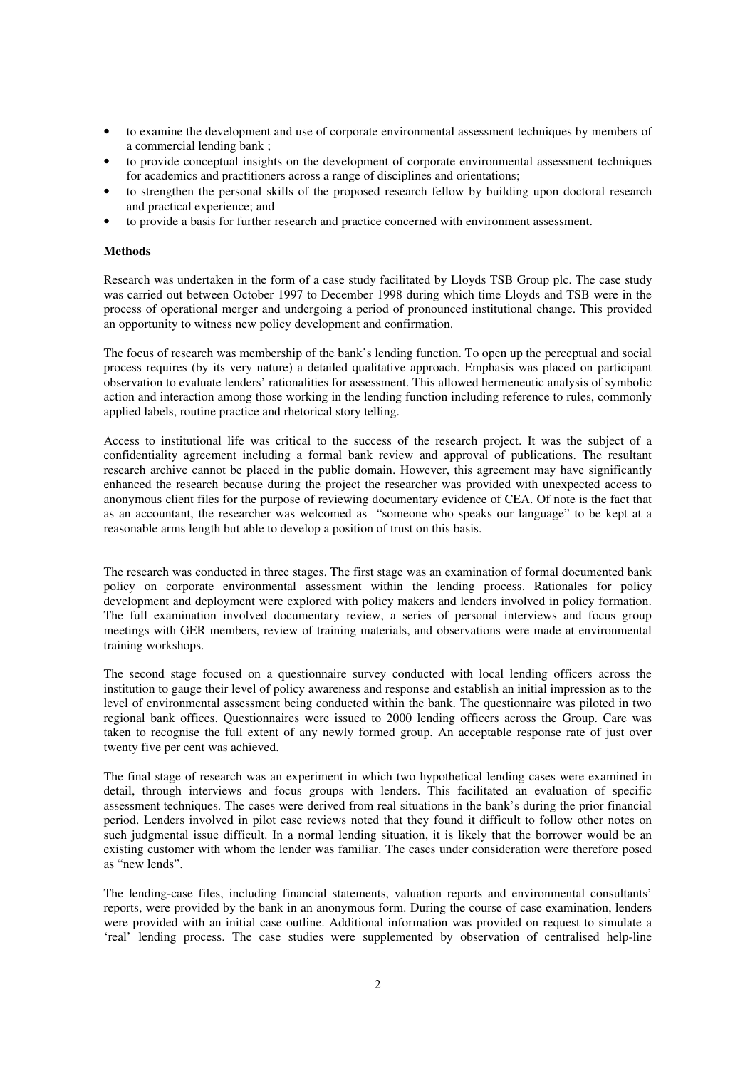- to examine the development and use of corporate environmental assessment techniques by members of a commercial lending bank ;
- to provide conceptual insights on the development of corporate environmental assessment techniques for academics and practitioners across a range of disciplines and orientations;
- to strengthen the personal skills of the proposed research fellow by building upon doctoral research and practical experience; and
- to provide a basis for further research and practice concerned with environment assessment.

### **Methods**

Research was undertaken in the form of a case study facilitated by Lloyds TSB Group plc. The case study was carried out between October 1997 to December 1998 during which time Lloyds and TSB were in the process of operational merger and undergoing a period of pronounced institutional change. This provided an opportunity to witness new policy development and confirmation.

The focus of research was membership of the bank's lending function. To open up the perceptual and social process requires (by its very nature) a detailed qualitative approach. Emphasis was placed on participant observation to evaluate lenders' rationalities for assessment. This allowed hermeneutic analysis of symbolic action and interaction among those working in the lending function including reference to rules, commonly applied labels, routine practice and rhetorical story telling.

Access to institutional life was critical to the success of the research project. It was the subject of a confidentiality agreement including a formal bank review and approval of publications. The resultant research archive cannot be placed in the public domain. However, this agreement may have significantly enhanced the research because during the project the researcher was provided with unexpected access to anonymous client files for the purpose of reviewing documentary evidence of CEA. Of note is the fact that as an accountant, the researcher was welcomed as "someone who speaks our language" to be kept at a reasonable arms length but able to develop a position of trust on this basis.

The research was conducted in three stages. The first stage was an examination of formal documented bank policy on corporate environmental assessment within the lending process. Rationales for policy development and deployment were explored with policy makers and lenders involved in policy formation. The full examination involved documentary review, a series of personal interviews and focus group meetings with GER members, review of training materials, and observations were made at environmental training workshops.

The second stage focused on a questionnaire survey conducted with local lending officers across the institution to gauge their level of policy awareness and response and establish an initial impression as to the level of environmental assessment being conducted within the bank. The questionnaire was piloted in two regional bank offices. Questionnaires were issued to 2000 lending officers across the Group. Care was taken to recognise the full extent of any newly formed group. An acceptable response rate of just over twenty five per cent was achieved.

The final stage of research was an experiment in which two hypothetical lending cases were examined in detail, through interviews and focus groups with lenders. This facilitated an evaluation of specific assessment techniques. The cases were derived from real situations in the bank's during the prior financial period. Lenders involved in pilot case reviews noted that they found it difficult to follow other notes on such judgmental issue difficult. In a normal lending situation, it is likely that the borrower would be an existing customer with whom the lender was familiar. The cases under consideration were therefore posed as "new lends".

The lending-case files, including financial statements, valuation reports and environmental consultants' reports, were provided by the bank in an anonymous form. During the course of case examination, lenders were provided with an initial case outline. Additional information was provided on request to simulate a 'real' lending process. The case studies were supplemented by observation of centralised help-line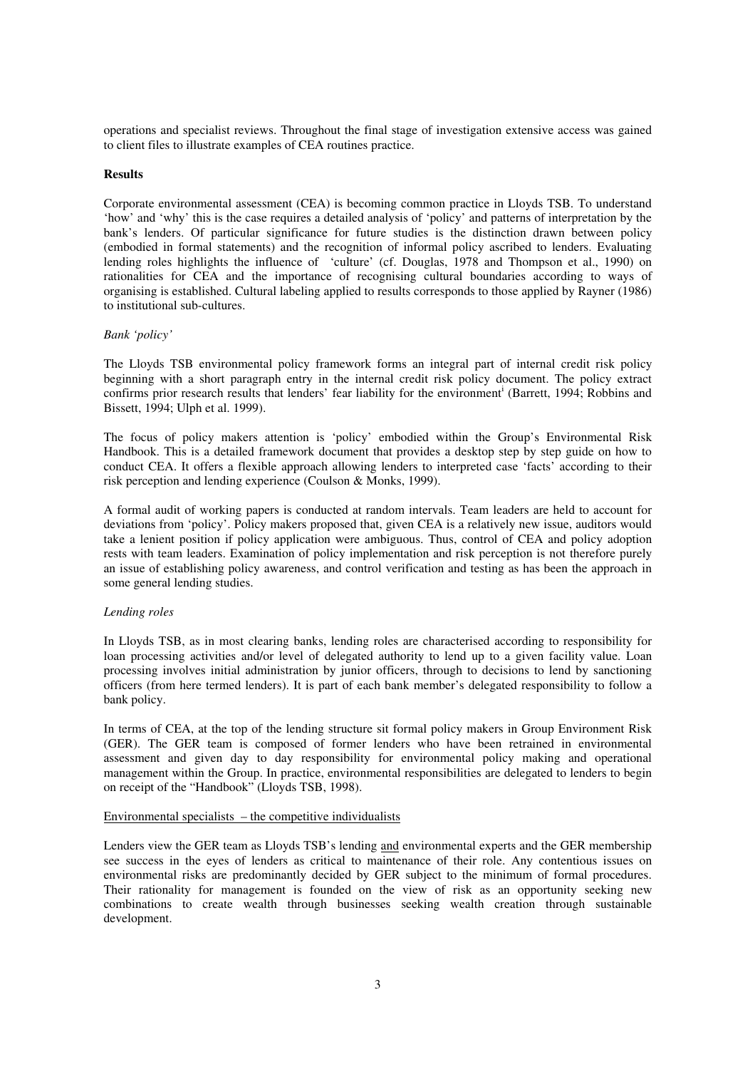operations and specialist reviews. Throughout the final stage of investigation extensive access was gained to client files to illustrate examples of CEA routines practice.

## **Results**

Corporate environmental assessment (CEA) is becoming common practice in Lloyds TSB. To understand 'how' and 'why' this is the case requires a detailed analysis of 'policy' and patterns of interpretation by the bank's lenders. Of particular significance for future studies is the distinction drawn between policy (embodied in formal statements) and the recognition of informal policy ascribed to lenders. Evaluating lending roles highlights the influence of 'culture' (cf. Douglas, 1978 and Thompson et al., 1990) on rationalities for CEA and the importance of recognising cultural boundaries according to ways of organising is established. Cultural labeling applied to results corresponds to those applied by Rayner (1986) to institutional sub-cultures.

## *Bank 'policy'*

The Lloyds TSB environmental policy framework forms an integral part of internal credit risk policy beginning with a short paragraph entry in the internal credit risk policy document. The policy extract confirms prior research results that lenders' fear liability for the environment<sup>i</sup> (Barrett, 1994; Robbins and Bissett, 1994; Ulph et al. 1999).

The focus of policy makers attention is 'policy' embodied within the Group's Environmental Risk Handbook. This is a detailed framework document that provides a desktop step by step guide on how to conduct CEA. It offers a flexible approach allowing lenders to interpreted case 'facts' according to their risk perception and lending experience (Coulson & Monks, 1999).

A formal audit of working papers is conducted at random intervals. Team leaders are held to account for deviations from 'policy'. Policy makers proposed that, given CEA is a relatively new issue, auditors would take a lenient position if policy application were ambiguous. Thus, control of CEA and policy adoption rests with team leaders. Examination of policy implementation and risk perception is not therefore purely an issue of establishing policy awareness, and control verification and testing as has been the approach in some general lending studies.

#### *Lending roles*

In Lloyds TSB, as in most clearing banks, lending roles are characterised according to responsibility for loan processing activities and/or level of delegated authority to lend up to a given facility value. Loan processing involves initial administration by junior officers, through to decisions to lend by sanctioning officers (from here termed lenders). It is part of each bank member's delegated responsibility to follow a bank policy.

In terms of CEA, at the top of the lending structure sit formal policy makers in Group Environment Risk (GER). The GER team is composed of former lenders who have been retrained in environmental assessment and given day to day responsibility for environmental policy making and operational management within the Group. In practice, environmental responsibilities are delegated to lenders to begin on receipt of the "Handbook" (Lloyds TSB, 1998).

# Environmental specialists  $-$  the competitive individualists

Lenders view the GER team as Lloyds TSB's lending and environmental experts and the GER membership see success in the eyes of lenders as critical to maintenance of their role. Any contentious issues on environmental risks are predominantly decided by GER subject to the minimum of formal procedures. Their rationality for management is founded on the view of risk as an opportunity seeking new combinations to create wealth through businesses seeking wealth creation through sustainable development.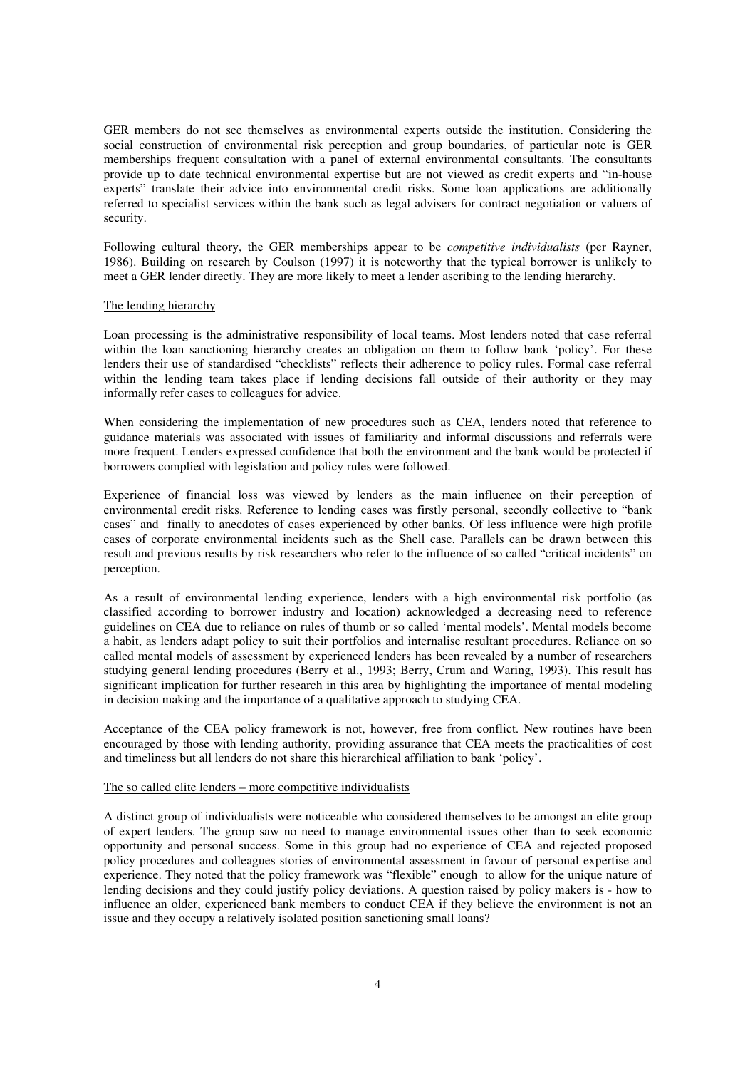GER members do not see themselves as environmental experts outside the institution. Considering the social construction of environmental risk perception and group boundaries, of particular note is GER memberships frequent consultation with a panel of external environmental consultants. The consultants provide up to date technical environmental expertise but are not viewed as credit experts and "in-house experts" translate their advice into environmental credit risks. Some loan applications are additionally referred to specialist services within the bank such as legal advisers for contract negotiation or valuers of security.

Following cultural theory, the GER memberships appear to be *competitive individualists* (per Rayner, 1986). Building on research by Coulson (1997) it is noteworthy that the typical borrower is unlikely to meet a GER lender directly. They are more likely to meet a lender ascribing to the lending hierarchy.

## The lending hierarchy

Loan processing is the administrative responsibility of local teams. Most lenders noted that case referral within the loan sanctioning hierarchy creates an obligation on them to follow bank 'policy'. For these lenders their use of standardised "checklists" reflects their adherence to policy rules. Formal case referral within the lending team takes place if lending decisions fall outside of their authority or they may informally refer cases to colleagues for advice.

When considering the implementation of new procedures such as CEA, lenders noted that reference to guidance materials was associated with issues of familiarity and informal discussions and referrals were more frequent. Lenders expressed confidence that both the environment and the bank would be protected if borrowers complied with legislation and policy rules were followed.

Experience of financial loss was viewed by lenders as the main influence on their perception of environmental credit risks. Reference to lending cases was firstly personal, secondly collective to "bank cases" and finally to anecdotes of cases experienced by other banks. Of less influence were high profile cases of corporate environmental incidents such as the Shell case. Parallels can be drawn between this result and previous results by risk researchers who refer to the influence of so called "critical incidents" on perception.

As a result of environmental lending experience, lenders with a high environmental risk portfolio (as classified according to borrower industry and location) acknowledged a decreasing need to reference guidelines on CEA due to reliance on rules of thumb or so called 'mental models'. Mental models become a habit, as lenders adapt policy to suit their portfolios and internalise resultant procedures. Reliance on so called mental models of assessment by experienced lenders has been revealed by a number of researchers studying general lending procedures (Berry et al., 1993; Berry, Crum and Waring, 1993). This result has significant implication for further research in this area by highlighting the importance of mental modeling in decision making and the importance of a qualitative approach to studying CEA.

Acceptance of the CEA policy framework is not, however, free from conflict. New routines have been encouraged by those with lending authority, providing assurance that CEA meets the practicalities of cost and timeliness but all lenders do not share this hierarchical affiliation to bank 'policy'.

## The so called elite lenders – more competitive individualists

A distinct group of individualists were noticeable who considered themselves to be amongst an elite group of expert lenders. The group saw no need to manage environmental issues other than to seek economic opportunity and personal success. Some in this group had no experience of CEA and rejected proposed policy procedures and colleagues stories of environmental assessment in favour of personal expertise and experience. They noted that the policy framework was "flexible" enough to allow for the unique nature of lending decisions and they could justify policy deviations. A question raised by policy makers is - how to influence an older, experienced bank members to conduct CEA if they believe the environment is not an issue and they occupy a relatively isolated position sanctioning small loans?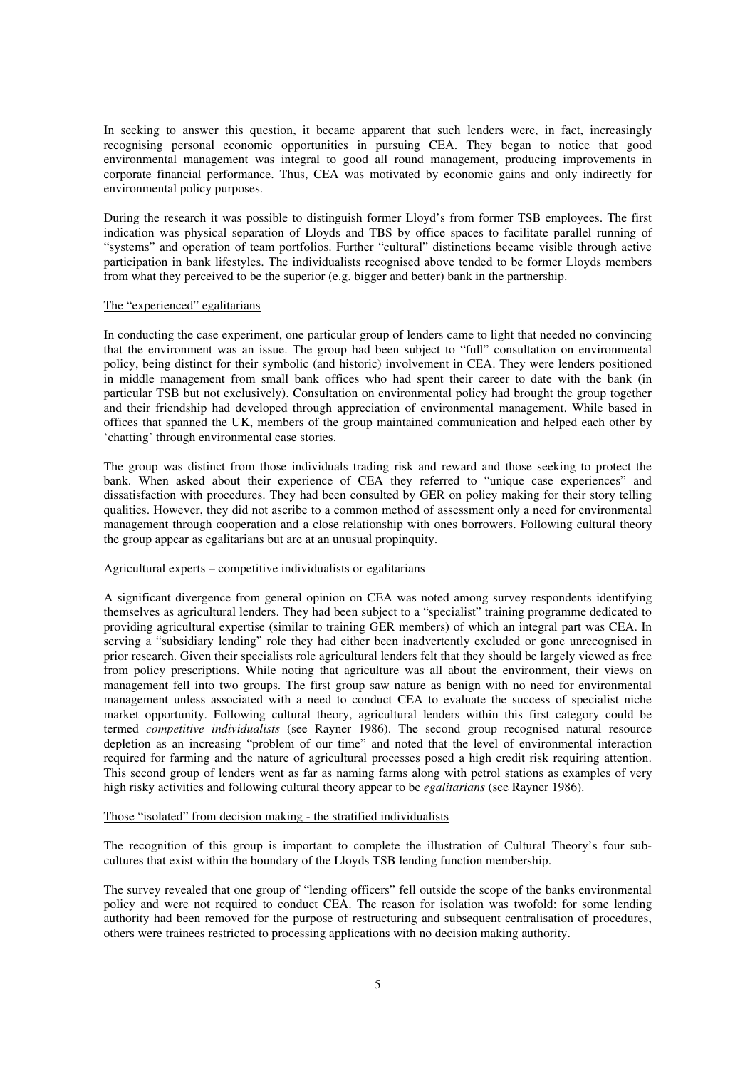In seeking to answer this question, it became apparent that such lenders were, in fact, increasingly recognising personal economic opportunities in pursuing CEA. They began to notice that good environmental management was integral to good all round management, producing improvements in corporate financial performance. Thus, CEA was motivated by economic gains and only indirectly for environmental policy purposes.

During the research it was possible to distinguish former Lloyd's from former TSB employees. The first indication was physical separation of Lloyds and TBS by office spaces to facilitate parallel running of "systems" and operation of team portfolios. Further "cultural" distinctions became visible through active participation in bank lifestyles. The individualists recognised above tended to be former Lloyds members from what they perceived to be the superior (e.g. bigger and better) bank in the partnership.

#### The "experienced" egalitarians

In conducting the case experiment, one particular group of lenders came to light that needed no convincing that the environment was an issue. The group had been subject to "full" consultation on environmental policy, being distinct for their symbolic (and historic) involvement in CEA. They were lenders positioned in middle management from small bank offices who had spent their career to date with the bank (in particular TSB but not exclusively). Consultation on environmental policy had brought the group together and their friendship had developed through appreciation of environmental management. While based in offices that spanned the UK, members of the group maintained communication and helped each other by 'chatting' through environmental case stories.

The group was distinct from those individuals trading risk and reward and those seeking to protect the bank. When asked about their experience of CEA they referred to "unique case experiences" and dissatisfaction with procedures. They had been consulted by GER on policy making for their story telling qualities. However, they did not ascribe to a common method of assessment only a need for environmental management through cooperation and a close relationship with ones borrowers. Following cultural theory the group appear as egalitarians but are at an unusual propinquity.

#### Agricultural experts – competitive individualists or egalitarians

A significant divergence from general opinion on CEA was noted among survey respondents identifying themselves as agricultural lenders. They had been subject to a "specialist" training programme dedicated to providing agricultural expertise (similar to training GER members) of which an integral part was CEA. In serving a "subsidiary lending" role they had either been inadvertently excluded or gone unrecognised in prior research. Given their specialists role agricultural lenders felt that they should be largely viewed as free from policy prescriptions. While noting that agriculture was all about the environment, their views on management fell into two groups. The first group saw nature as benign with no need for environmental management unless associated with a need to conduct CEA to evaluate the success of specialist niche market opportunity. Following cultural theory, agricultural lenders within this first category could be termed *competitive individualists* (see Rayner 1986). The second group recognised natural resource depletion as an increasing "problem of our time" and noted that the level of environmental interaction required for farming and the nature of agricultural processes posed a high credit risk requiring attention. This second group of lenders went as far as naming farms along with petrol stations as examples of very high risky activities and following cultural theory appear to be *egalitarians* (see Rayner 1986).

### Those "isolated" from decision making - the stratified individualists

The recognition of this group is important to complete the illustration of Cultural Theory's four subcultures that exist within the boundary of the Lloyds TSB lending function membership.

The survey revealed that one group of "lending officers" fell outside the scope of the banks environmental policy and were not required to conduct CEA. The reason for isolation was twofold: for some lending authority had been removed for the purpose of restructuring and subsequent centralisation of procedures, others were trainees restricted to processing applications with no decision making authority.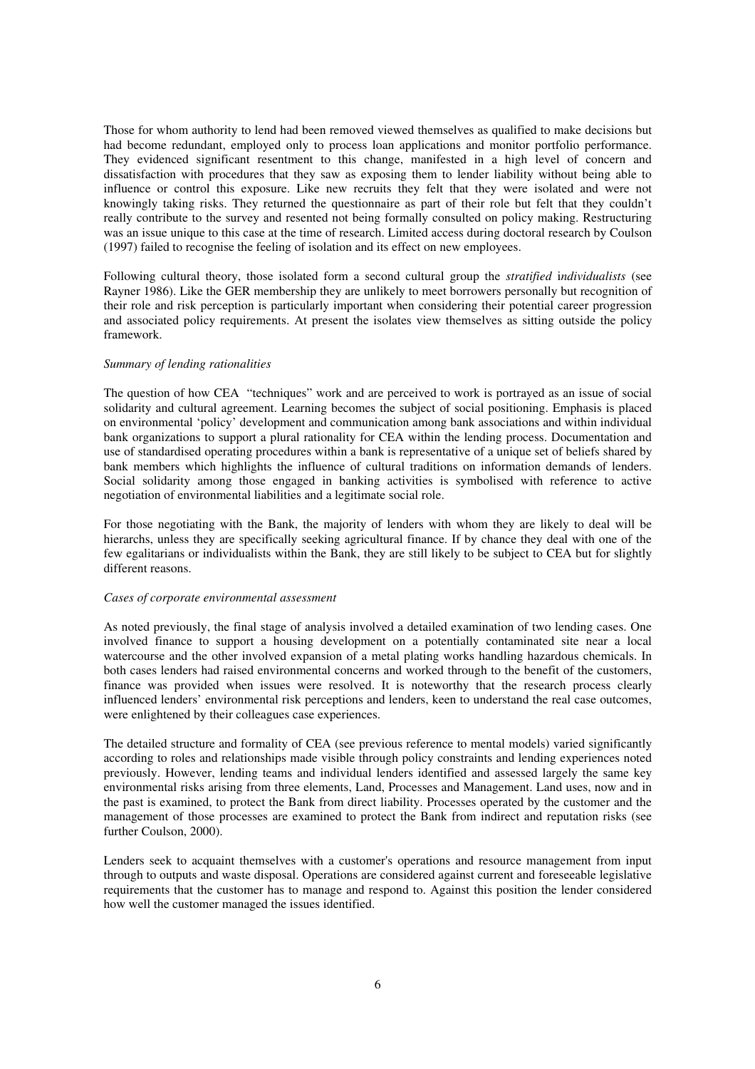Those for whom authority to lend had been removed viewed themselves as qualified to make decisions but had become redundant, employed only to process loan applications and monitor portfolio performance. They evidenced significant resentment to this change, manifested in a high level of concern and dissatisfaction with procedures that they saw as exposing them to lender liability without being able to influence or control this exposure. Like new recruits they felt that they were isolated and were not knowingly taking risks. They returned the questionnaire as part of their role but felt that they couldn't really contribute to the survey and resented not being formally consulted on policy making. Restructuring was an issue unique to this case at the time of research. Limited access during doctoral research by Coulson (1997) failed to recognise the feeling of isolation and its effect on new employees.

Following cultural theory, those isolated form a second cultural group the *stratified* i*ndividualists* (see Rayner 1986). Like the GER membership they are unlikely to meet borrowers personally but recognition of their role and risk perception is particularly important when considering their potential career progression and associated policy requirements. At present the isolates view themselves as sitting outside the policy framework.

#### *Summary of lending rationalities*

The question of how CEA "techniques" work and are perceived to work is portrayed as an issue of social solidarity and cultural agreement. Learning becomes the subject of social positioning. Emphasis is placed on environmental 'policy' development and communication among bank associations and within individual bank organizations to support a plural rationality for CEA within the lending process. Documentation and use of standardised operating procedures within a bank is representative of a unique set of beliefs shared by bank members which highlights the influence of cultural traditions on information demands of lenders. Social solidarity among those engaged in banking activities is symbolised with reference to active negotiation of environmental liabilities and a legitimate social role.

For those negotiating with the Bank, the majority of lenders with whom they are likely to deal will be hierarchs, unless they are specifically seeking agricultural finance. If by chance they deal with one of the few egalitarians or individualists within the Bank, they are still likely to be subject to CEA but for slightly different reasons.

#### *Cases of corporate environmental assessment*

As noted previously, the final stage of analysis involved a detailed examination of two lending cases. One involved finance to support a housing development on a potentially contaminated site near a local watercourse and the other involved expansion of a metal plating works handling hazardous chemicals. In both cases lenders had raised environmental concerns and worked through to the benefit of the customers, finance was provided when issues were resolved. It is noteworthy that the research process clearly influenced lenders' environmental risk perceptions and lenders, keen to understand the real case outcomes, were enlightened by their colleagues case experiences.

The detailed structure and formality of CEA (see previous reference to mental models) varied significantly according to roles and relationships made visible through policy constraints and lending experiences noted previously. However, lending teams and individual lenders identified and assessed largely the same key environmental risks arising from three elements, Land, Processes and Management. Land uses, now and in the past is examined, to protect the Bank from direct liability. Processes operated by the customer and the management of those processes are examined to protect the Bank from indirect and reputation risks (see further Coulson, 2000).

Lenders seek to acquaint themselves with a customer's operations and resource management from input through to outputs and waste disposal. Operations are considered against current and foreseeable legislative requirements that the customer has to manage and respond to. Against this position the lender considered how well the customer managed the issues identified.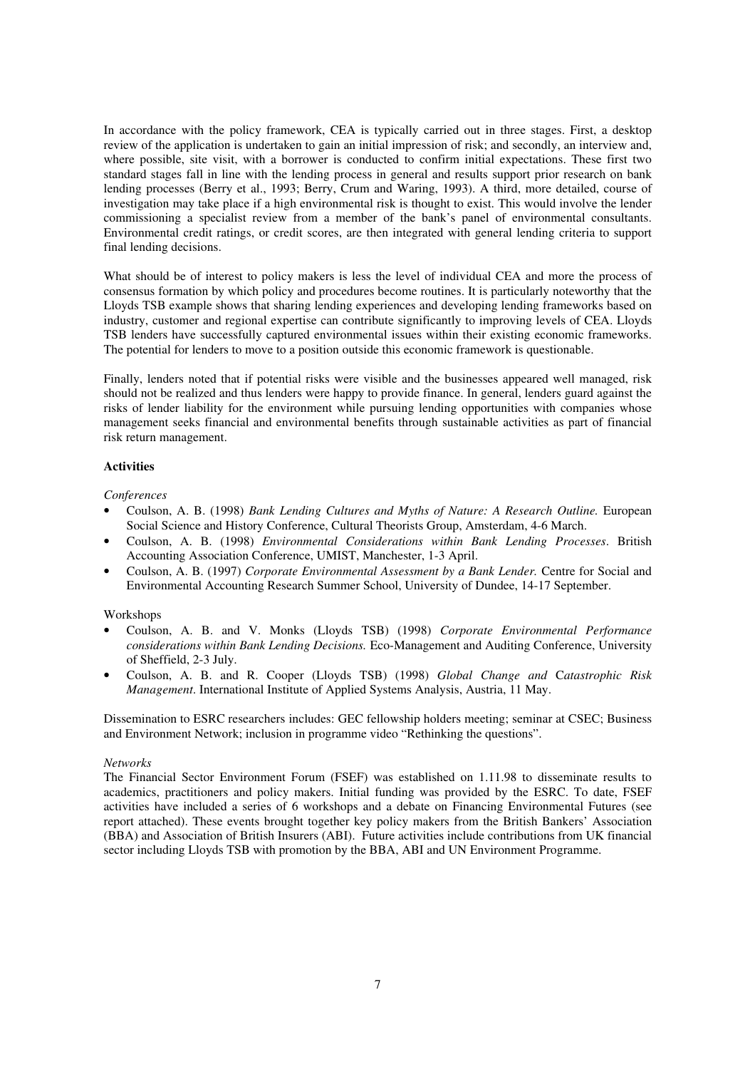In accordance with the policy framework, CEA is typically carried out in three stages. First, a desktop review of the application is undertaken to gain an initial impression of risk; and secondly, an interview and, where possible, site visit, with a borrower is conducted to confirm initial expectations. These first two standard stages fall in line with the lending process in general and results support prior research on bank lending processes (Berry et al., 1993; Berry, Crum and Waring, 1993). A third, more detailed, course of investigation may take place if a high environmental risk is thought to exist. This would involve the lender commissioning a specialist review from a member of the bank's panel of environmental consultants. Environmental credit ratings, or credit scores, are then integrated with general lending criteria to support final lending decisions.

What should be of interest to policy makers is less the level of individual CEA and more the process of consensus formation by which policy and procedures become routines. It is particularly noteworthy that the Lloyds TSB example shows that sharing lending experiences and developing lending frameworks based on industry, customer and regional expertise can contribute significantly to improving levels of CEA. Lloyds TSB lenders have successfully captured environmental issues within their existing economic frameworks. The potential for lenders to move to a position outside this economic framework is questionable.

Finally, lenders noted that if potential risks were visible and the businesses appeared well managed, risk should not be realized and thus lenders were happy to provide finance. In general, lenders guard against the risks of lender liability for the environment while pursuing lending opportunities with companies whose management seeks financial and environmental benefits through sustainable activities as part of financial risk return management.

### **Activities**

### *Conferences*

- Coulson, A. B. (1998) *Bank Lending Cultures and Myths of Nature: A Research Outline.* European Social Science and History Conference, Cultural Theorists Group, Amsterdam, 4-6 March.
- Coulson, A. B. (1998) *Environmental Considerations within Bank Lending Processes*. British Accounting Association Conference, UMIST, Manchester, 1-3 April.
- Coulson, A. B. (1997) *Corporate Environmental Assessment by a Bank Lender.* Centre for Social and Environmental Accounting Research Summer School, University of Dundee, 14-17 September.

### Workshops

- Coulson, A. B. and V. Monks (Lloyds TSB) (1998) *Corporate Environmental Performance considerations within Bank Lending Decisions.* Eco-Management and Auditing Conference, University of Sheffield, 2-3 July.
- Coulson, A. B. and R. Cooper (Lloyds TSB) (1998) *Global Change and* C*atastrophic Risk Management*. International Institute of Applied Systems Analysis, Austria, 11 May.

Dissemination to ESRC researchers includes: GEC fellowship holders meeting; seminar at CSEC; Business and Environment Network; inclusion in programme video "Rethinking the questions".

#### *Networks*

The Financial Sector Environment Forum (FSEF) was established on 1.11.98 to disseminate results to academics, practitioners and policy makers. Initial funding was provided by the ESRC. To date, FSEF activities have included a series of 6 workshops and a debate on Financing Environmental Futures (see report attached). These events brought together key policy makers from the British Bankers' Association (BBA) and Association of British Insurers (ABI). Future activities include contributions from UK financial sector including Lloyds TSB with promotion by the BBA, ABI and UN Environment Programme.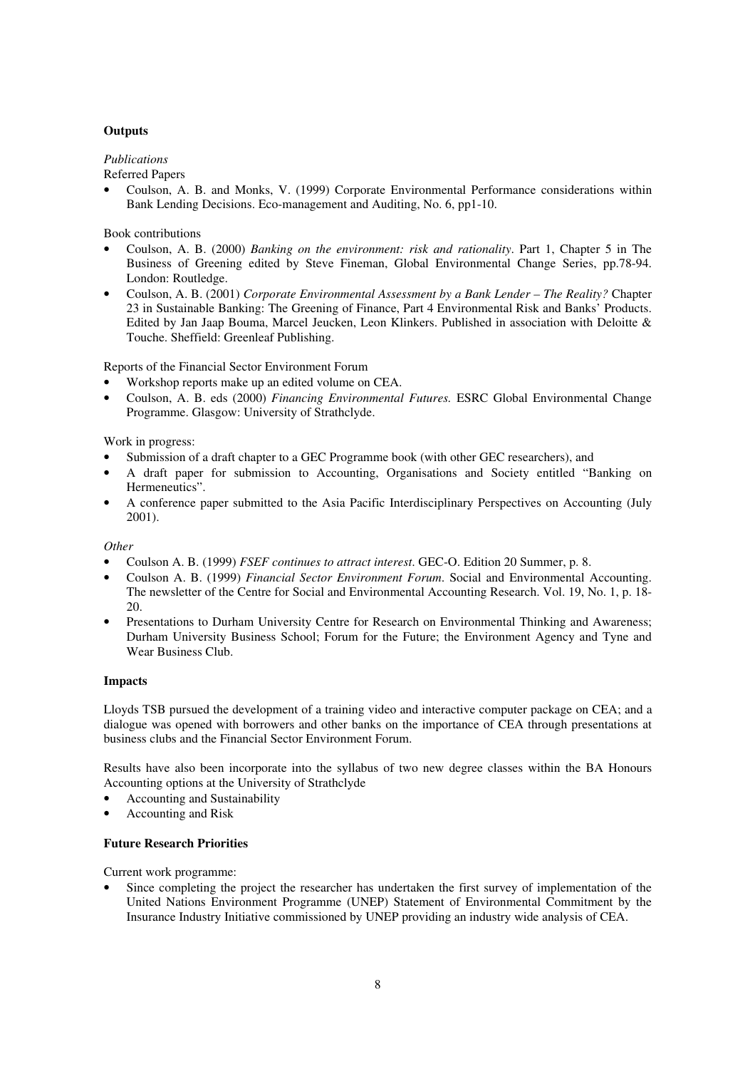## **Outputs**

## *Publications*

Referred Papers

• Coulson, A. B. and Monks, V. (1999) Corporate Environmental Performance considerations within Bank Lending Decisions. Eco-management and Auditing, No. 6, pp1-10.

## Book contributions

- Coulson, A. B. (2000) *Banking on the environment: risk and rationality*. Part 1, Chapter 5 in The Business of Greening edited by Steve Fineman, Global Environmental Change Series, pp.78-94. London: Routledge.
- Coulson, A. B. (2001) *Corporate Environmental Assessment by a Bank Lender The Reality?* Chapter 23 in Sustainable Banking: The Greening of Finance, Part 4 Environmental Risk and Banks' Products. Edited by Jan Jaap Bouma, Marcel Jeucken, Leon Klinkers. Published in association with Deloitte & Touche. Sheffield: Greenleaf Publishing.

Reports of the Financial Sector Environment Forum

- Workshop reports make up an edited volume on CEA.
- Coulson, A. B. eds (2000) *Financing Environmental Futures.* ESRC Global Environmental Change Programme. Glasgow: University of Strathclyde.

## Work in progress:

- Submission of a draft chapter to a GEC Programme book (with other GEC researchers), and
- A draft paper for submission to Accounting, Organisations and Society entitled "Banking on Hermeneutics".
- A conference paper submitted to the Asia Pacific Interdisciplinary Perspectives on Accounting (July 2001).

### *Other*

- Coulson A. B. (1999) *FSEF continues to attract interest*. GEC-O. Edition 20 Summer, p. 8.
- Coulson A. B. (1999) *Financial Sector Environment Forum*. Social and Environmental Accounting. The newsletter of the Centre for Social and Environmental Accounting Research. Vol. 19, No. 1, p. 18- 20.
- Presentations to Durham University Centre for Research on Environmental Thinking and Awareness; Durham University Business School; Forum for the Future; the Environment Agency and Tyne and Wear Business Club.

### **Impacts**

Lloyds TSB pursued the development of a training video and interactive computer package on CEA; and a dialogue was opened with borrowers and other banks on the importance of CEA through presentations at business clubs and the Financial Sector Environment Forum.

Results have also been incorporate into the syllabus of two new degree classes within the BA Honours Accounting options at the University of Strathclyde

- Accounting and Sustainability
- Accounting and Risk

## **Future Research Priorities**

Current work programme:

Since completing the project the researcher has undertaken the first survey of implementation of the United Nations Environment Programme (UNEP) Statement of Environmental Commitment by the Insurance Industry Initiative commissioned by UNEP providing an industry wide analysis of CEA.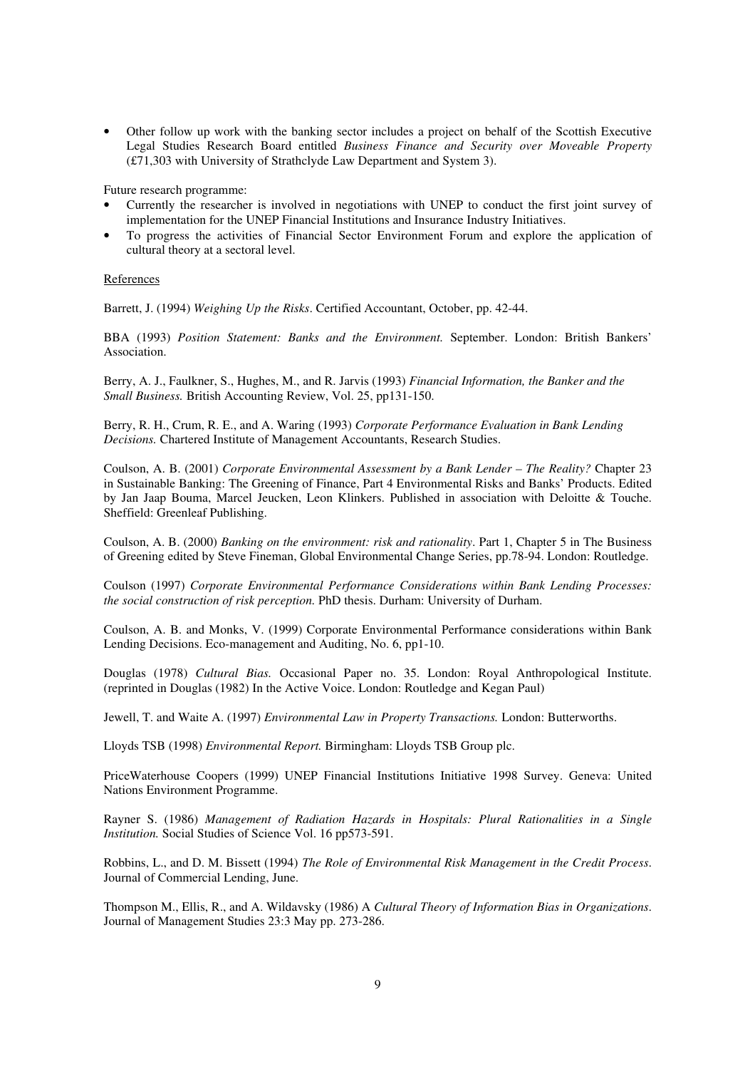• Other follow up work with the banking sector includes a project on behalf of the Scottish Executive Legal Studies Research Board entitled *Business Finance and Security over Moveable Property* (£71,303 with University of Strathclyde Law Department and System 3).

Future research programme:

- Currently the researcher is involved in negotiations with UNEP to conduct the first joint survey of implementation for the UNEP Financial Institutions and Insurance Industry Initiatives.
- To progress the activities of Financial Sector Environment Forum and explore the application of cultural theory at a sectoral level.

#### **References**

Barrett, J. (1994) *Weighing Up the Risks*. Certified Accountant, October, pp. 42-44.

BBA (1993) *Position Statement: Banks and the Environment.* September. London: British Bankers' Association.

Berry, A. J., Faulkner, S., Hughes, M., and R. Jarvis (1993) *Financial Information, the Banker and the Small Business.* British Accounting Review, Vol. 25, pp131-150.

Berry, R. H., Crum, R. E., and A. Waring (1993) *Corporate Performance Evaluation in Bank Lending Decisions.* Chartered Institute of Management Accountants, Research Studies.

Coulson, A. B. (2001) *Corporate Environmental Assessment by a Bank Lender – The Reality?* Chapter 23 in Sustainable Banking: The Greening of Finance, Part 4 Environmental Risks and Banks' Products. Edited by Jan Jaap Bouma, Marcel Jeucken, Leon Klinkers. Published in association with Deloitte & Touche. Sheffield: Greenleaf Publishing.

Coulson, A. B. (2000) *Banking on the environment: risk and rationality*. Part 1, Chapter 5 in The Business of Greening edited by Steve Fineman, Global Environmental Change Series, pp.78-94. London: Routledge.

Coulson (1997) *Corporate Environmental Performance Considerations within Bank Lending Processes: the social construction of risk perception.* PhD thesis. Durham: University of Durham.

Coulson, A. B. and Monks, V. (1999) Corporate Environmental Performance considerations within Bank Lending Decisions. Eco-management and Auditing, No. 6, pp1-10.

Douglas (1978) *Cultural Bias.* Occasional Paper no. 35. London: Royal Anthropological Institute. (reprinted in Douglas (1982) In the Active Voice. London: Routledge and Kegan Paul)

Jewell, T. and Waite A. (1997) *Environmental Law in Property Transactions.* London: Butterworths.

Lloyds TSB (1998) *Environmental Report.* Birmingham: Lloyds TSB Group plc.

PriceWaterhouse Coopers (1999) UNEP Financial Institutions Initiative 1998 Survey. Geneva: United Nations Environment Programme.

Rayner S. (1986) *Management of Radiation Hazards in Hospitals: Plural Rationalities in a Single Institution.* Social Studies of Science Vol. 16 pp573-591.

Robbins, L., and D. M. Bissett (1994) *The Role of Environmental Risk Management in the Credit Process*. Journal of Commercial Lending, June.

Thompson M., Ellis, R., and A. Wildavsky (1986) A *Cultural Theory of Information Bias in Organizations*. Journal of Management Studies 23:3 May pp. 273-286.